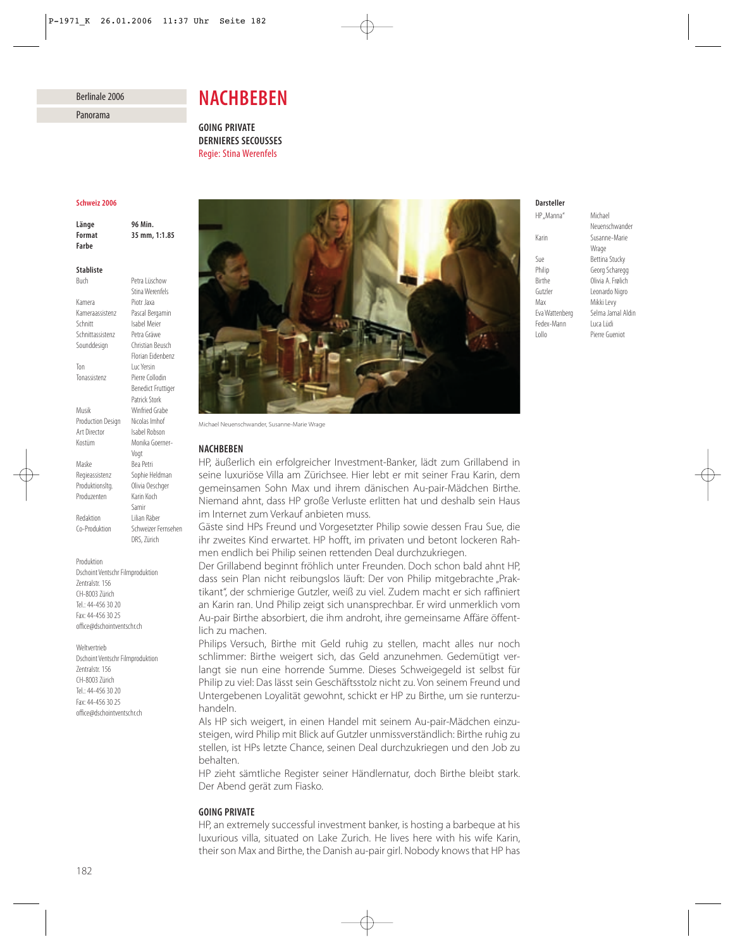## Berlinale 2006

Panorama

# *NACHBEBEN*

*GOING PRIVATE DERNIERES SECOUSSES* Regie: Stina Werenfels

## *Schweiz 2006*

*Länge 96 Min. Format 35 mm, 1:1.85 Farbe*

Buch Petra Lüschow

## *Stabliste*

Stina Werenfels Kamera Piotr Jaxa Kameraassistenz Pascal Bergamin<br>Schnitt Sabel Meier Isabel Meier Schnittassistenz Petra Gräwe Sounddesign Christian Beusch Florian Eidenbenz Ton Luc Yersin Tonassistenz Pierre Collodin Benedict Fruttiger Patrick Stork Musik Winfried Grabe Production Design Nicolas Imhof Art Director Isabel Robson Kostüm Monika Goerner-Vogt Maske Bea Petri Regieassistenz Sophie Heldman Produktionsltg. Olivia Oeschger Produzenten Karin Koch Samir Redaktion Lilian Räber Co-Produktion Schweizer Fernsehen DRS, Zürich

Dschoint Ventschr Filmproduktion Zentralstr. 156 CH-8003 Zürich Tel.: 44-456 30 20 Fax: 44-456 30 25 office@dschointventschr.ch

Produktion

Weltvertrieb Dschoint Ventschr Filmproduktion Zentralstr. 156 CH-8003 Zürich Tel: 44-456 30 20 Fax: 44-456 30 25 office@dschointventschr.ch



Michael Neuenschwander, Susanne-Marie Wrage

#### *NACHBEBEN*

HP, äußerlich ein erfolgreicher Investment-Banker, lädt zum Grillabend in seine luxuriöse Villa am Zürichsee. Hier lebt er mit seiner Frau Karin, dem gemeinsamen Sohn Max und ihrem dänischen Au-pair-Mädchen Birthe. Niemand ahnt, dass HP große Verluste erlitten hat und deshalb sein Haus im Internet zum Verkauf anbieten muss.

Gäste sind HPs Freund und Vorgesetzter Philip sowie dessen Frau Sue, die ihr zweites Kind erwartet. HP hofft, im privaten und betont lockeren Rahmen endlich bei Philip seinen rettenden Deal durchzukriegen.

Der Grillabend beginnt fröhlich unter Freunden. Doch schon bald ahnt HP, dass sein Plan nicht reibungslos läuft: Der von Philip mitgebrachte "Praktikant", der schmierige Gutzler, weiß zu viel. Zudem macht er sich raffiniert an Karin ran. Und Philip zeigt sich unansprechbar. Er wird unmerklich vom Au-pair Birthe absorbiert, die ihm androht, ihre gemeinsame Affäre öffentlich zu machen.

Philips Versuch, Birthe mit Geld ruhig zu stellen, macht alles nur noch schlimmer: Birthe weigert sich, das Geld anzunehmen. Gedemütigt verlangt sie nun eine horrende Summe. Dieses Schweigegeld ist selbst für Philip zu viel: Das lässt sein Geschäftsstolz nicht zu. Von seinem Freund und Untergebenen Loyalität gewohnt, schickt er HP zu Birthe, um sie runterzuhandeln.

Als HP sich weigert, in einen Handel mit seinem Au-pair-Mädchen einzusteigen, wird Philip mit Blick auf Gutzler unmissverständlich: Birthe ruhig zu stellen, ist HPs letzte Chance, seinen Deal durchzukriegen und den Job zu behalten.

HP zieht sämtliche Register seiner Händlernatur, doch Birthe bleibt stark. Der Abend gerät zum Fiasko.

## *GOING PRIVATE*

HP, an extremely successful investment banker, is hosting a barbeque at his luxurious villa, situated on Lake Zurich. He lives here with his wife Karin, their son Max and Birthe, the Danish au-pair girl. Nobody knows that HP has

# *Darsteller*

Karin Susanne-Marie Sue Bettina Stucky<br>Philip Georg Schareg Birthe Olivia A. Frølich Gutzler Leonardo Nigro Max Mikki Levy Eva Wattenberg Selma Jamal Aldin<br>Fedex-Mann Luca Lüdi Fedex-Mann Lollo Pierre Gueniot

HP .. Manna" Michael Neuenschwander **Wrage** Georg Scharegg